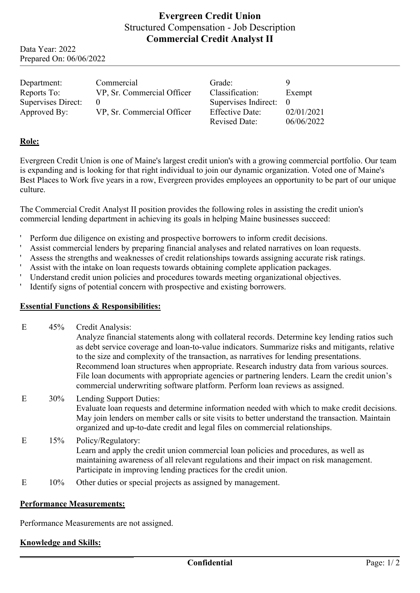# **Evergreen Credit Union** Structured Compensation - Job Description **Commercial Credit Analyst II**

Data Year: 2022 Prepared On: 06/06/2022

| Department:        | Commercial                 | Grade:                 |            |
|--------------------|----------------------------|------------------------|------------|
| Reports To:        | VP, Sr. Commercial Officer | Classification:        | Exempt     |
| Supervises Direct: |                            | Supervises Indirect: 0 |            |
| Approved By:       | VP, Sr. Commercial Officer | <b>Effective Date:</b> | 02/01/2021 |
|                    |                            | <b>Revised Date:</b>   | 06/06/2022 |

## **Role:**

Evergreen Credit Union is one of Maine's largest credit union's with a growing commercial portfolio. Our team is expanding and is looking for that right individual to join our dynamic organization. Voted one of Maine's Best Places to Work five years in a row, Evergreen provides employees an opportunity to be part of our unique culture.

The Commercial Credit Analyst II position provides the following roles in assisting the credit union's commercial lending department in achieving its goals in helping Maine businesses succeed:

- 'Perform due diligence on existing and prospective borrowers to inform credit decisions.
- 'Assist commercial lenders by preparing financial analyses and related narratives on loan requests.
- 'Assess the strengths and weaknesses of credit relationships towards assigning accurate risk ratings.
- 'Assist with the intake on loan requests towards obtaining complete application packages.
- 'Understand credit union policies and procedures towards meeting organizational objectives.
- 'Identify signs of potential concern with prospective and existing borrowers.

### **Essential Functions & Responsibilities:**

E 45% Credit Analysis:

Analyze financial statements along with collateral records. Determine key lending ratios such as debt service coverage and loan-to-value indicators. Summarize risks and mitigants, relative to the size and complexity of the transaction, as narratives for lending presentations. Recommend loan structures when appropriate. Research industry data from various sources. File loan documents with appropriate agencies or partnering lenders. Learn the credit union's commercial underwriting software platform. Perform loan reviews as assigned.

## E 30% Lending Support Duties: Evaluate loan requests and determine information needed with which to make credit decisions. May join lenders on member calls or site visits to better understand the transaction. Maintain organized and up-to-date credit and legal files on commercial relationships.

- E 15% Policy/Regulatory: Learn and apply the credit union commercial loan policies and procedures, as well as maintaining awareness of all relevant regulations and their impact on risk management. Participate in improving lending practices for the credit union.
- E 10% Other duties or special projects as assigned by management.

#### **Performance Measurements:**

Performance Measurements are not assigned.

### **Knowledge and Skills:**